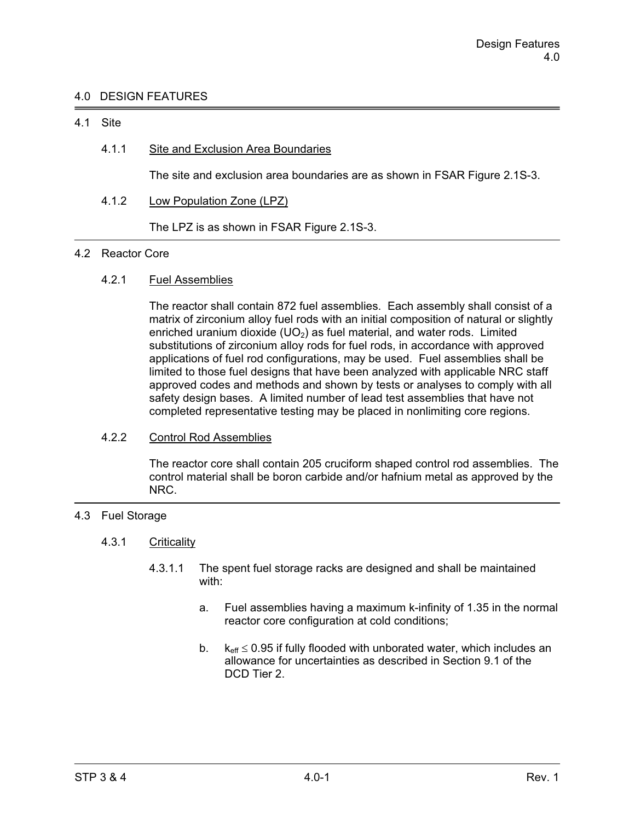# 4.0 DESIGN FEATURES

### 4.1 Site

# 4.1.1 Site and Exclusion Area Boundaries

The site and exclusion area boundaries are as shown in FSAR Figure 2.1S-3.

4.1.2 Low Population Zone (LPZ)

The LPZ is as shown in FSAR Figure 2.1S-3.

#### 4.2 Reactor Core

# 4.2.1 Fuel Assemblies

 The reactor shall contain 872 fuel assemblies. Each assembly shall consist of a matrix of zirconium alloy fuel rods with an initial composition of natural or slightly enriched uranium dioxide  $(UD<sub>2</sub>)$  as fuel material, and water rods. Limited substitutions of zirconium alloy rods for fuel rods, in accordance with approved applications of fuel rod configurations, may be used. Fuel assemblies shall be limited to those fuel designs that have been analyzed with applicable NRC staff approved codes and methods and shown by tests or analyses to comply with all safety design bases. A limited number of lead test assemblies that have not completed representative testing may be placed in nonlimiting core regions.

# 4.2.2 Control Rod Assemblies

 The reactor core shall contain 205 cruciform shaped control rod assemblies. The control material shall be boron carbide and/or hafnium metal as approved by the NRC.

# 4.3 Fuel Storage

### 4.3.1 Criticality

- 4.3.1.1 The spent fuel storage racks are designed and shall be maintained with:
	- a. Fuel assemblies having a maximum k-infinity of 1.35 in the normal reactor core configuration at cold conditions;
- b.  $k_{\text{eff}} \leq$  $k_{\text{eff}} \leq 0.95$  if fully flooded with unborated water, which includes an allowance for uncertainties as described in Section 9.1 of the DCD Tier 2.